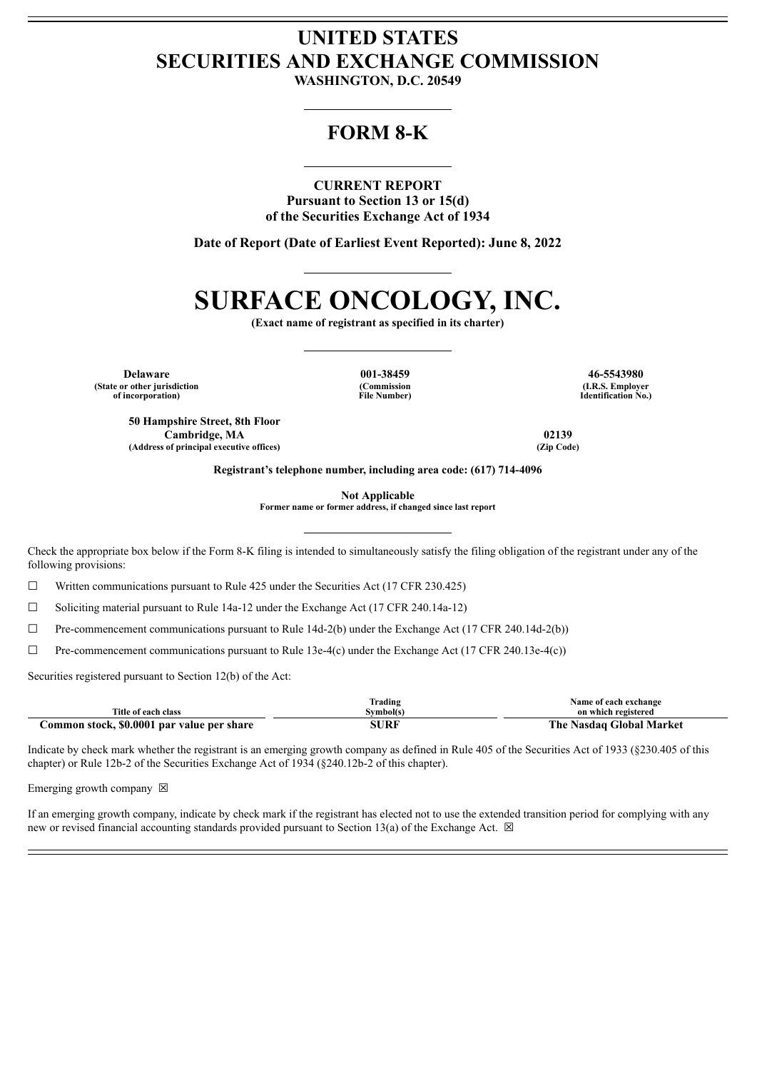## **UNITED STATES SECURITIES AND EXCHANGE COMMISSION**

**WASHINGTON, D.C. 20549**

### **FORM 8-K**

### **CURRENT REPORT**

**Pursuant to Section 13 or 15(d) of the Securities Exchange Act of 1934**

**Date of Report (Date of Earliest Event Reported): June 8, 2022**

# **SURFACE ONCOLOGY, INC.**

**(Exact name of registrant as specified in its charter)**

**Delaware 001-38459 46-5543980 (State or other jurisdiction of incorporation)**

**50 Hampshire Street, 8th Floor**

**(Commission File Number)**

**(I.R.S. Employer Identification No.)**

**Cambridge, MA 02139 (Address of principal executive offices) (Zip Code)**

**Registrant's telephone number, including area code: (617) 714-4096**

**Not Applicable**

**Former name or former address, if changed since last report**

Check the appropriate box below if the Form 8-K filing is intended to simultaneously satisfy the filing obligation of the registrant under any of the following provisions:

☐ Written communications pursuant to Rule 425 under the Securities Act (17 CFR 230.425)

 $\Box$  Soliciting material pursuant to Rule 14a-12 under the Exchange Act (17 CFR 240.14a-12)

 $\Box$  Pre-commencement communications pursuant to Rule 14d-2(b) under the Exchange Act (17 CFR 240.14d-2(b))

 $\Box$  Pre-commencement communications pursuant to Rule 13e-4(c) under the Exchange Act (17 CFR 240.13e-4(c))

Securities registered pursuant to Section 12(b) of the Act:

|                                            | Trading   | <b>Name of each exchange</b>    |
|--------------------------------------------|-----------|---------------------------------|
| Title of each class                        | Svmbol(s` | on which registered             |
| Common stock, \$0.0001 par value per share | SURF      | : Nasdag Global Market<br>The . |

Indicate by check mark whether the registrant is an emerging growth company as defined in Rule 405 of the Securities Act of 1933 (§230.405 of this chapter) or Rule 12b-2 of the Securities Exchange Act of 1934 (§240.12b-2 of this chapter).

Emerging growth company  $\boxtimes$ 

If an emerging growth company, indicate by check mark if the registrant has elected not to use the extended transition period for complying with any new or revised financial accounting standards provided pursuant to Section 13(a) of the Exchange Act.  $\boxtimes$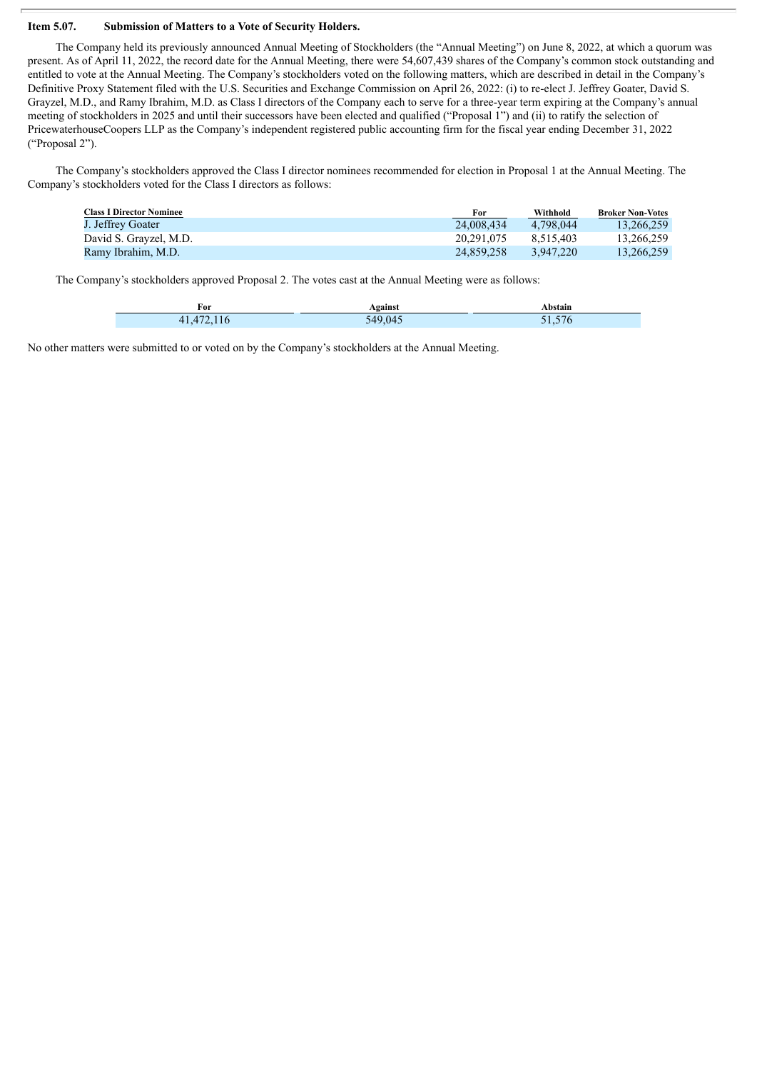#### **Item 5.07. Submission of Matters to a Vote of Security Holders.**

The Company held its previously announced Annual Meeting of Stockholders (the "Annual Meeting") on June 8, 2022, at which a quorum was present. As of April 11, 2022, the record date for the Annual Meeting, there were 54,607,439 shares of the Company's common stock outstanding and entitled to vote at the Annual Meeting. The Company's stockholders voted on the following matters, which are described in detail in the Company's Definitive Proxy Statement filed with the U.S. Securities and Exchange Commission on April 26, 2022: (i) to re-elect J. Jeffrey Goater, David S. Grayzel, M.D., and Ramy Ibrahim, M.D. as Class I directors of the Company each to serve for a three-year term expiring at the Company's annual meeting of stockholders in 2025 and until their successors have been elected and qualified ("Proposal 1") and (ii) to ratify the selection of PricewaterhouseCoopers LLP as the Company's independent registered public accounting firm for the fiscal year ending December 31, 2022 ("Proposal 2").

The Company's stockholders approved the Class I director nominees recommended for election in Proposal 1 at the Annual Meeting. The Company's stockholders voted for the Class I directors as follows:

| <b>Class I Director Nominee</b> | For        | Withhold  | <b>Broker Non-Votes</b> |
|---------------------------------|------------|-----------|-------------------------|
| J. Jeffrey Goater               | 24,008,434 | 4.798.044 | 13.266.259              |
| David S. Grayzel, M.D.          | 20.291.075 | 8.515.403 | 13.266.259              |
| Ramy Ibrahim, M.D.              | 24.859.258 | 3.947.220 | 13.266.259              |

The Company's stockholders approved Proposal 2. The votes cast at the Annual Meeting were as follows:

| For        | Against | Abstain                               |
|------------|---------|---------------------------------------|
| 41,472,116 | 549,045 | $F - I$<br>$\sim$ /b.<br>- -<br>71.70 |

No other matters were submitted to or voted on by the Company's stockholders at the Annual Meeting.